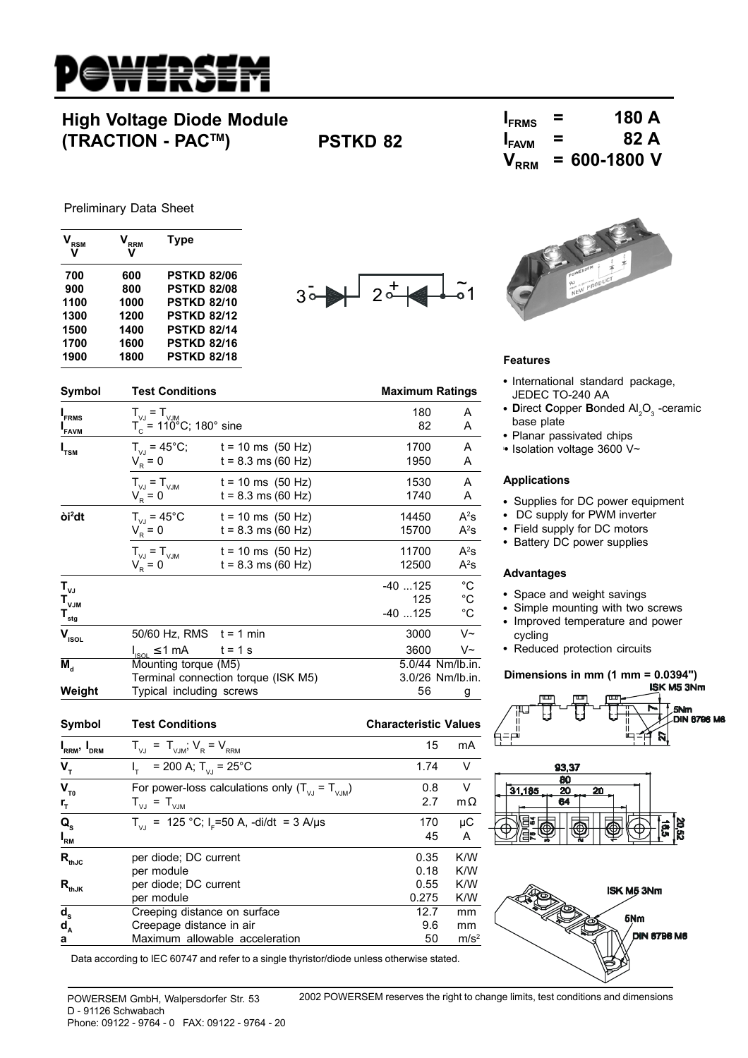

# **High Voltage Diode Module (TRACTION - PACTM) PSTKD 82**

| $I_{FRMS}$        | = | 180 A            |
|-------------------|---|------------------|
| I <sub>FAVM</sub> | = | 82 A             |
| $V_{RRM}$         |   | $= 600 - 1800$ V |

Preliminary Data Sheet

**I**

**I**<sub>FAVM</sub>

**I**

**òi2**

**I**<sub>RRM</sub>, I<sub>DRM</sub>

 $V_T$ 

I

| ${\mathsf V}_{\mathsf{RSM}}$ | $V_{\rm RRM}$<br>۷ | Type               |                       |                 |
|------------------------------|--------------------|--------------------|-----------------------|-----------------|
| 700                          | 600                | <b>PSTKD 82/06</b> | $\tilde{\phantom{a}}$ |                 |
| 900                          | 800                | <b>PSTKD 82/08</b> | ⌒<br>3 <sup>°</sup>   |                 |
| 1100                         | 1000               | <b>PSTKD 82/10</b> |                       |                 |
| 1300                         | 1200               | <b>PSTKD 82/12</b> |                       |                 |
| 1500                         | 1400               | <b>PSTKD 82/14</b> |                       |                 |
| 1700                         | 1600               | <b>PSTKD 82/16</b> |                       |                 |
| 1900                         | 1800               | <b>PSTKD 82/18</b> |                       | <b>Features</b> |

 $T_c^{\prime\prime}$  = 110<sup>°</sup>C; 180° sine



- International standard package, JEDEC TO-240 AA
- Direct Copper Bonded Al<sub>2</sub>O<sub>3</sub> -ceramic base plate
- Planar passivated chips
- <sup>l</sup> Isolation voltage 3600 V~

#### **Applications**

 $A^2S$ 

 $A^2s$ 

 $A^2S$ 

 $A^2s$ 

- Supplies for DC power equipment
- DC supply for PWM inverter
- Field supply for DC motors
- Battery DC power supplies

#### **Advantages**

- Space and weight savings
- Simple mounting with two screws
- Improved temperature and power cycling
- Reduced protection circuits

### **Dimensions in mm (1 mm = 0.0394")**









| $V_{T0}$                  | For power-loss calculations only $(T_{\text{V}} = T_{\text{V}})$ | 0.8   | V                |
|---------------------------|------------------------------------------------------------------|-------|------------------|
| $r_{\rm r}$               | $T_{\vee \cup} = T_{\vee \cup M}$                                | 2.7   | $m\Omega$        |
| $\mathbf{Q}_{\mathrm{s}}$ | $T_{V1}$ = 125 °C; I <sub>F</sub> =50 A, -di/dt = 3 A/µs         | 170   | μC               |
| $I_{\rm RM}$              |                                                                  | 45    | A                |
| $R_{thJC}$                | per diode; DC current                                            | 0.35  | K/W              |
|                           | per module                                                       | 0.18  | K/W              |
| $R_{thJK}$                | per diode; DC current                                            | 0.55  | K/W              |
|                           | per module                                                       | 0.275 | K/W              |
|                           | Creeping distance on surface                                     | 12.7  | mm               |
| $\frac{d_s}{d_A}$         | Creepage distance in air                                         | 9.6   | mm               |
| a                         | Maximum allowable acceleration                                   | 50    | m/s <sup>2</sup> |
|                           |                                                                  |       |                  |

**Symbol Test Conditions Conditions Conditions Maximum Ratings** 

 $t = 8.3$  ms (60 Hz)

 $t = 8.3$  ms (60 Hz)

 $t = 8.3$  ms (60 Hz)

 $t = 8.3$  ms (60 Hz)

 $\mathsf{T}_{\mathsf{vJ}}$  -40 ...125  $^\circ\mathsf{C}$  $\mathsf{T}_{\mathsf{VJM}}$  125  $^\circ\mathsf{C}$ **Tstg** -40 ...125 °C  $V_{\text{isol}}$  50/60 Hz, RMS t = 1 min 3000 V~

**M<sub>d</sub>** Mounting torque (M5) 5.0/44 Nm/lb.in.<br>Terminal connection torque (ISK M5) 3.0/26 Nm/lb.in.

**Weight** Typical including screws 56 g

**Symbol Test Conditions Characteristic Values**

Terminal connection torque (ISK M5).

 $T_{VJ} = 45^{\circ}$ C t = 10 ms (50 Hz) 14450<br>  $V_R = 0$  t = 8.3 ms (60 Hz) 15700

 $T_{VJ} = T_{VJM}$  t = 10 ms (50 Hz) 11700<br>  $V_R = 0$  t = 8.3 ms (60 Hz) 12500

 $T_{\text{VJ}} = T_{\text{VJM}}$ <br>  $T_{\text{c}} = 110^{\circ}$ C; 180° sine<br>  $T_{\text{c}} = 110^{\circ}$ 

 $T_{VJ} = 45^{\circ}$ C; t = 10 ms (50 Hz) 1700 A<br>  $V_R = 0$  t = 8.3 ms (60 Hz) 1950 A

 $T_{VJ} = T_{VJM}$  t = 10 ms (50 Hz) 1530 A<br>  $V_R = 0$  t = 8.3 ms (60 Hz) 1740 A

 $\frac{1}{100}$   $\leq$  1 mA t = 1 s 3600 V  $\sim$  3600 V  $\sim$  3600 V  $\sim$  3600 V  $\sim$  5.0/44 Nm/lb.in.

 $T_{\text{VJ}} = T_{\text{VJM}}$ ;  $V_R = V_{\text{RRM}}$  15 mA

 $T_{\text{V1}} = 25^{\circ} \text{C}$  1.74 V

Data according to IEC 60747 and refer to a single thyristor/diode unless otherwise stated.

POWERSEM GmbH, Walpersdorfer Str. 53 D - 91126 Schwabach Phone: 09122 - 9764 - 0 FAX: 09122 - 9764 - 20 2002 POWERSEM reserves the right to change limits, test conditions and dimensions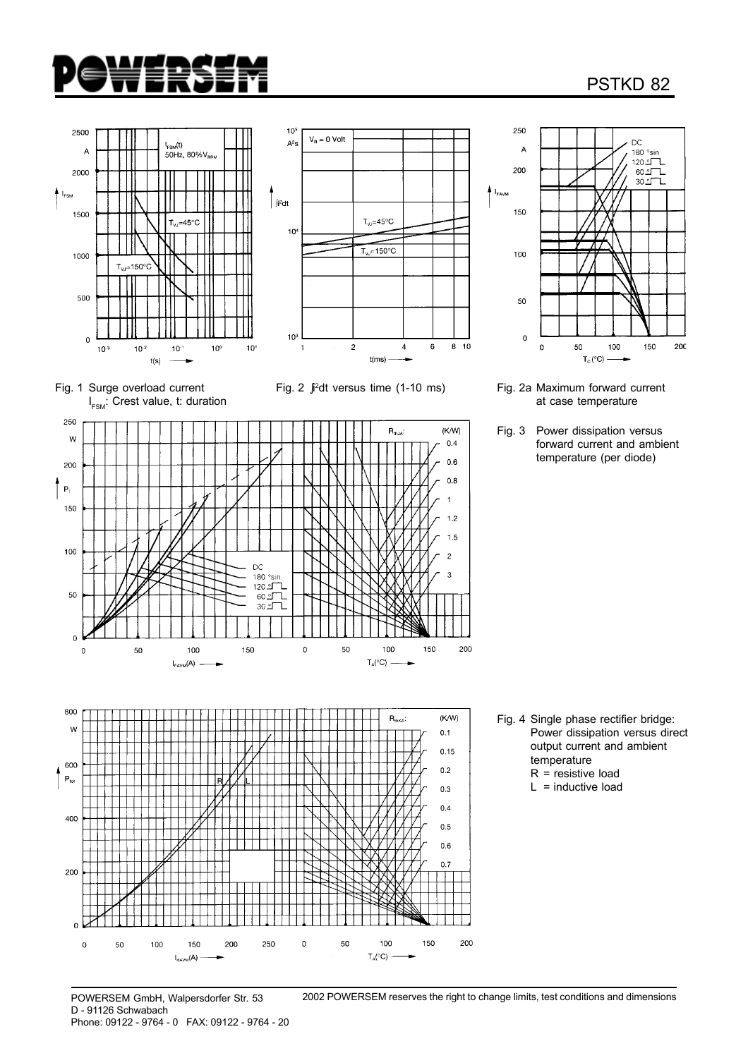

## PSTKD 82





Fig. 1 Surge overload current I<sub>FSM</sub>: Crest value, t: duration Fig. 2 ∫i 2







Fig. 2a Maximum forward current at case temperature

Fig. 3 Power dissipation versus forward current and ambient temperature (per diode)

- Fig. 4 Single phase rectifier bridge: Power dissipation versus direct output current and ambient temperature R = resistive load
	- $L =$  inductive load

POWERSEM GmbH, Walpersdorfer Str. 53 D - 91126 Schwabach Phone: 09122 - 9764 - 0 FAX: 09122 - 9764 - 20 2002 POWERSEM reserves the right to change limits, test conditions and dimensions